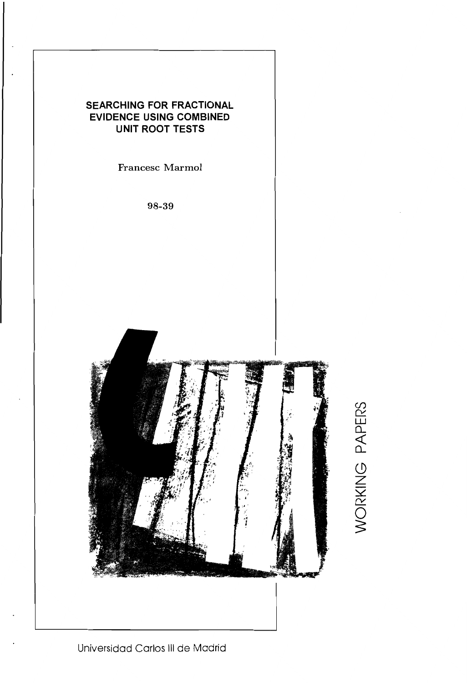

WORKING PAPERS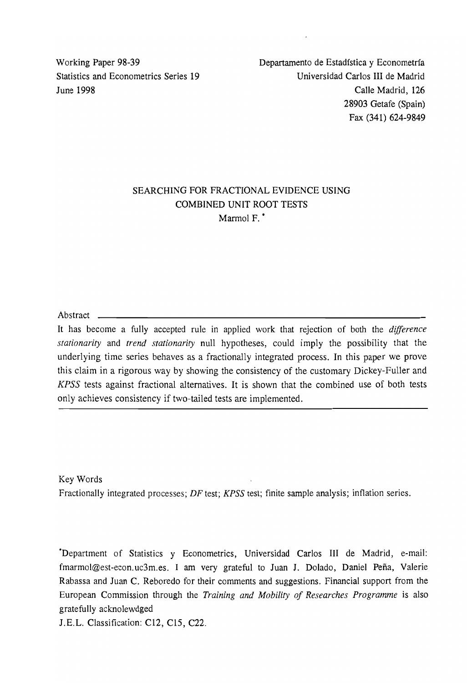Working Paper 98-39 Statistics and Econometrics Series 19 June 1998

Departamento de Estadfstica y Econometrfa Universidad Carlos **III** de Madrid Calle Madrid, 126 28903 Getafe (Spain) Fax (341) 624-9849

### SEARCHING FOR FRACTIONAL EVIDENCE USING COMBINED UNIT ROOT TESTS Marmol F.<sup>\*</sup>

Abstract

It has become a fully accepted rule in applied work that rejection of both the *difference stationarity* and *trend stationarity* null hypotheses, could imply the possibility that the underlying time series behaves as a fractionally integrated process. In this paper we prove this claim in a rigorous way by showing the consistency of the customary Dickey-Fuller and *KPSS* tests against fractional alternatives. It is shown that the combined use of both tests only achieves consistency if two-tailed tests are implemented.

Key Words Fractionally integrated processes; *DF* test; *KPSS* test; finite sample analysis; inflation series.

"Department of Statistics y Econometrics, Universidad Carlos III de Madrid, e-mail: fmarmol@est-econ.uc3m.es. I am very grateful to Juan J. Dolado, Daniel Peña, Valerie Rabassa and Juan C. Reboredo for their comments and suggestions. Financial support from the European Commission through the *Training and Mobility of Researches Programme* is also gratefully acknolewdged

J.E.L. Classification: C12, C15, C22.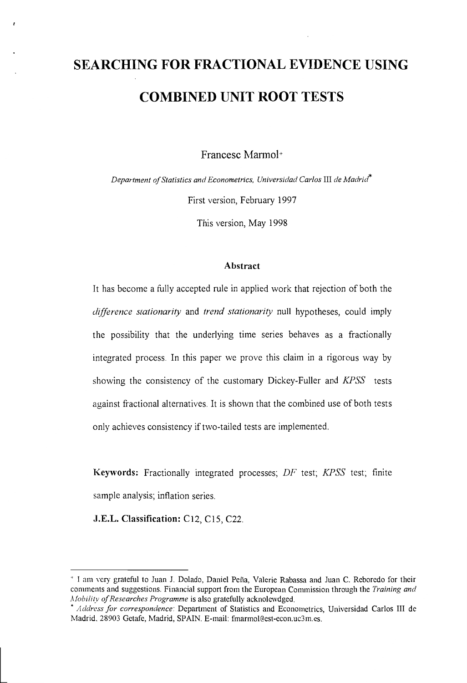# **SEARCHING FOR FRACTIONAL EVIDENCE USING COMBINED UNIT ROOT TESTS**

Francesc Marmol<sup>+</sup>

*Department of Statistics and Econometrics, Universidad Car/os* III *de MadriJ*  First version, February 1997

This version, May 1998

#### **Abstract**

It has become a fully accepted rule in applied work that rejection of both the *d{fference stationarity* and *trend stationarity* null hypotheses, could imply the possibility that the underlying time series behaves as a fractionally integrated process. In this paper we prove this claim in a rigorous way by showing the consistency of the customary Dickey-Fuller and *KPSS* tests against fractional alternatives. It is shown that the combined use of both tests only achieves consistency if two-tailed tests are implemented.

**Keywords:** Fractionally integrated processes; *DF* test; *KPSS* test; finite sample analysis; inflation series.

**J.E.L. Classification:** C12, ClS, C22.

<sup>&</sup>lt;sup>+</sup> I am very grateful to Juan J. Dolado, Daniel Peña, Valerie Rabassa and Juan C. Reboredo for their commcnts and suggestions. Financial support from the European Commission through the *Training and Mobility of Researches Programme* is also gratefully acknolcwdged.

<sup>\*</sup> *Address for correspondence:* Department of Statistics and Econometrics, Universidad Carlos III dc Madrid, 28903 Getafe, Madrid, SPAIN. E-mail: fmarmol@cst-econ.uc3m.es.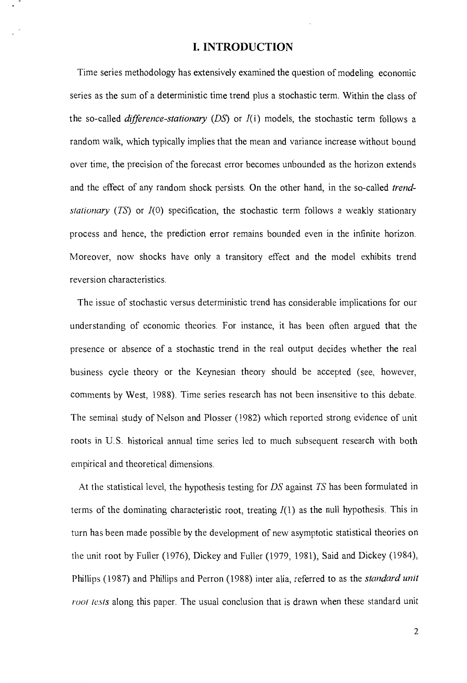#### **I. INTRODUCTION**

Time series methodology has extensively examined the question of modeling economic series as the sum of a deterministic time trend plus a stochastic term. Within the class of the so-called *difference-stationary (DS)* or *1(1)* models, the stochastic term follows a random walk, which typically implies that the mean and variance increase without bound over time, the precision of the forecast error becomes unbounded as the horizon extends and the effect of any random shock persists. On the other hand, in the so-called *trendstationary (TS)* or *1(0)* specification, the stochastic term follows a weakly stationary process and hence, the prediction error remains bounded even in the infinite horizon. Moreover, now shocks have only a transitory effect and the model exhibits trend reversion characteristics.

The issue of stochastic versus deterministic trend has considerable implications for our understanding of economic theories. For instance, it has been often argued that the presence or absence of a stochastic trend in the real output decides whether the real business cycle theory or the Keynesian theory should be accepted (see, however, comments by West, 1988). Time series research has not been insensitive to this debate. The seminal study of Nelson and Plosser (1982) which reported strong evidence of unit roots in U. S. historical annual time series led to much subsequent research with both empirical and theoretical dimensions.

At the statistical level, the hypothesis testing for *DS* against *TS* has been formulated in terms of the dominating characteristic root, treating  $I(1)$  as the null hypothesis. This in turn has been made possible by the development of new asymptotic statistical theories on the unit root by Fuller (1976), Dickey and Fuller (1979, 1981), Said and Dickey (1984), Phillips (1987) and Phillips and Perron (1988) inter alia, referred to as the *standard unit root tests* along this paper. The usual conclusion that is drawn when these standard unit

2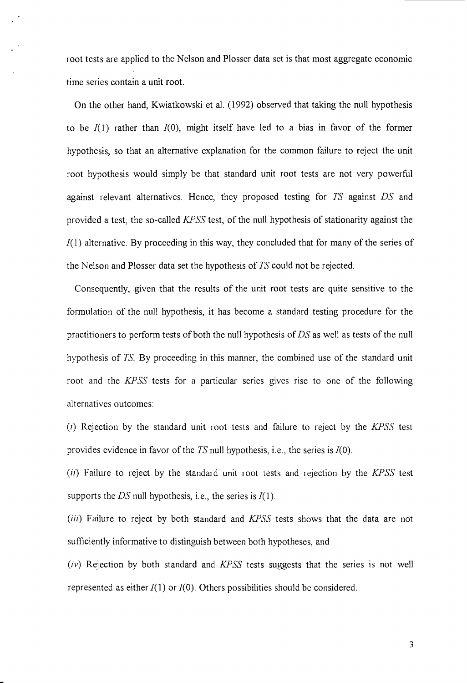root tests are applied to the Nelson and Plosser data set is that most aggregate economic time series contain a unit root.

On the other hand, Kwiatkowski et al. (1992) observed that taking the null hypothesis to be  $I(1)$  rather than  $I(0)$ , might itself have led to a bias in favor of the former hypothesis, so that an alternative explanation for the common failure to reject the unit root hypothesis would simply be that standard unit root tests are not very powerful against relevant alternatives. Hence, they proposed testing for *TS* against *DS* and provided a test, the so-called *KPSS* test, of the null hypothesis of stationarity against the  $I(1)$  alternative. By proceeding in this way, they concluded that for many of the series of the Nelson and Plosser data set the hypothesis of *TS* could not be rejected.

Consequently, given that the results of the unit root tests are quite sensitive to the formulation of the null hypothesis, it has become a standard testing procedure for the practitioners to perform tests of both the null hypothesis of *DS* as well as tests of the null hypothesis of TS By proceeding in this manner, the combined use of the standard unit root and the *KPSS* tests for a particular series gives rise to one of the following alternatives outcomes:

(i) Rejection by the standard unit root tests and failure to reject by the *KPSS* test provides evidence in favor of the *TS* null hypothesis, i.e., the series is /(0).

*(ii)* Failure to reject by the standard unit root tests and rejection by the *KPSS* test supports the  $DS$  null hypothesis, i.e., the series is  $I(1)$ .

(iii) Failure to reject by both standard and KPSS tests shows that the data are not sufficiently informative to distinguish between both hypotheses, and

 $(iv)$  Rejection by both standard and  $KPSS$  tests suggests that the series is not well represented as either  $I(1)$  or  $I(0)$ . Others possibilities should be considered.

3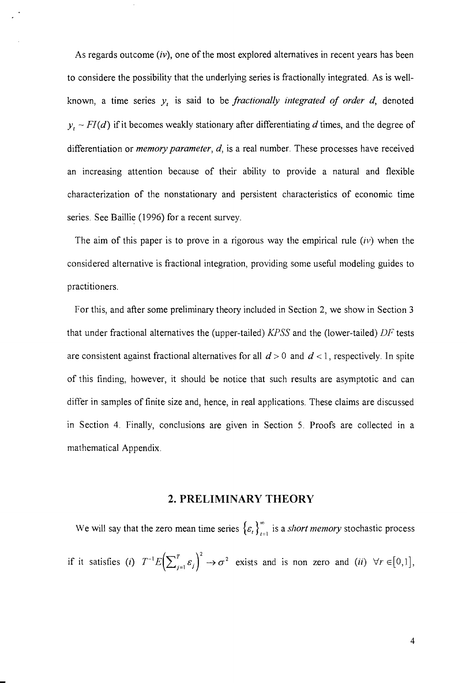As regards outcome *(iv),* one of the most explored alternatives in recent years has been to considere the possibility that the underlying series is fractionally integrated. As is wellknown, a time series *Yt* is said to be *fractionally integrated of order d,* denoted  $y_t$  ~  $FI(d)$  if it becomes weakly stationary after differentiating *d* times, and the degree of differentiation or *memory parameter, d,* is a real number. These processes have received an increasing attention because of their ability to provide a natural and flexible characterization of the nonstationary and persistent characteristics of economic time series. See Baillie (1996) for a recent survey.

The aim of this paper is to prove in a rigorous way the empirical rule *(iv)* when the considered alternative is fractional integration, providing some useful modeling guides to practitioners.

For this, and after some preliminary theory included in Section 2, we show in Section 3 that under fractional alternatives the (upper-tailed) *KPSS* and the (lower-tailed) *DF* tests are consistent against fractional alternatives for all  $d > 0$  and  $d < 1$ , respectively. In spite of this finding, however, it should be notice that such results are asymptotic and can differ in samples of finite size and, hence, in real applications. These claims are discussed in Section 4. Finally, conclusions are given in Section 5. Proofs are collected in a mathematical Appendix.

#### **2. PRELIMINARY THEORY**

We will say that the zero mean time series  $\{\varepsilon_n\}_{n=1}^{\infty}$  is a *short memory* stochastic process if it satisfies (i)  $T^{-1}E\left(\sum_{i=1}^T \mathcal{E}_i\right)^2 \to \sigma^2$  exists and is non zero and *(ii)*  $\forall r \in [0,1],$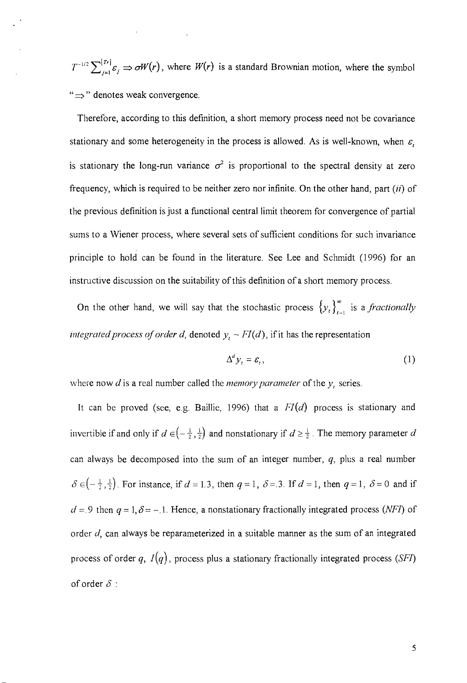$T^{-1/2} \sum_{i=1}^{[Tr]} \varepsilon_i \Rightarrow \sigma W(r)$ , where  $W(r)$  is a standard Brownian motion, where the symbol " $\Rightarrow$ " denotes weak convergence.

Therefore, according to this definition, a short memory process need not be covariance stationary and some heterogeneity in the process is allowed. As is well-known, when  $\varepsilon$ , is stationary the long-run variance  $\sigma^2$  is proportional to the spectral density at zero frequency, which is required to be neither zero nor infinite. On the other hand, part (ii) of the previous definition is just a functional central limit theorem for convergence of partial sums to a Wiener process, where several sets of sufficient conditions for such invariance principle to hold can be found in the literature. See Lee and Schmidt (1996) for an instructive discussion on the suitability of this definition of a short memory process.

On the other hand, we will say that the stochastic process  $\{y_i\}_{i=1}^{\infty}$  is a *fractionally integrated process of order d, denoted*  $y_t \sim FI(d)$ *, if it has the representation* 

$$
\Delta^d y_t = \varepsilon_t,\tag{1}
$$

where now  $d$  is a real number called the *memory parameter* of the  $y_t$  series.

It can be proved (see, e.g. Baillie, 1996) that a *FI(d)* process is stationary and invertible if and only if  $d \in \left(-\frac{1}{2}, \frac{1}{2}\right)$  and nonstationary if  $d \ge \frac{1}{2}$ . The memory parameter *d* can always be decomposed into the sum of an integer number,  $q$ , plus a real number  $\delta \in \left(-\frac{1}{2}, \frac{1}{2}\right)$ . For instance, if  $d = 1.3$ , then  $q = 1$ ,  $\delta = .3$ . If  $d = 1$ , then  $q = 1$ ,  $\delta = 0$  and if  $d = 9$  then  $q = 1, \delta = -.1$ . Hence, a nonstationary fractionally integrated process (NFI) of order  $d$ , can always be reparameterized in a suitable manner as the sum of an integrated process of order  $q$ ,  $I(q)$ , process plus a stationary fractionally integrated process (SFI) of order  $\delta$  :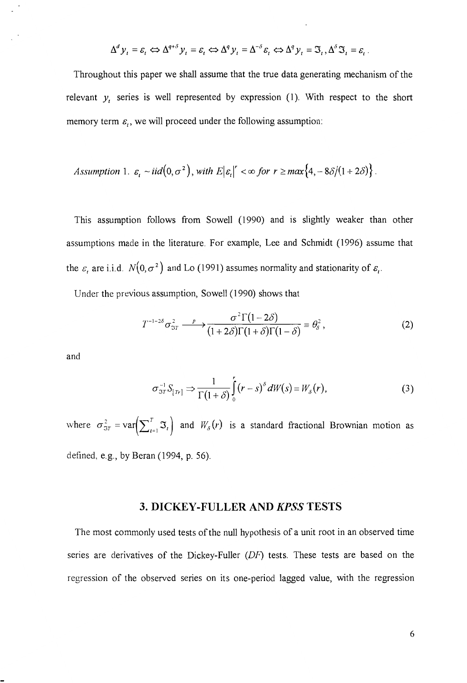$$
\Delta^d y_t = \varepsilon_t \Leftrightarrow \Delta^{q+\delta} y_t = \varepsilon_t \Leftrightarrow \Delta^q y_t = \Delta^{-\delta} \varepsilon_t \Leftrightarrow \Delta^q y_t = \mathfrak{S}_t, \Delta^{\delta} \mathfrak{S}_t = \varepsilon_t.
$$

Throughout this paper we shall assume that the true data generating mechanism of the relevant  $y_t$  series is well represented by expression (1). With respect to the short memory term  $\varepsilon_t$ , we will proceed under the following assumption:

Assumption 1. 
$$
\varepsilon_t \sim \text{iid}\left(0, \sigma^2\right)
$$
, with  $E|\varepsilon_t|' < \infty$  for  $r \ge \max\{4, -8\delta/(1+2\delta)\}$ .

This assumption follows from Sowell (1990) and is slightly weaker than other assumptions made in the literature. For example, Lee and Schmidt (1996) assume that the  $\varepsilon$ <sub>c</sub> are i.i.d.  $N(0, \sigma^2)$  and Lo (1991) assumes normality and stationarity of  $\varepsilon$ <sub>t</sub>.

Under the previous assumption, SowelI (1990) shows that

$$
T^{-1-2\delta}\sigma_{3T}^2 \xrightarrow{p} \frac{\sigma^2 \Gamma(1-2\delta)}{(1+2\delta)\Gamma(1+\delta)\Gamma(1-\delta)} \equiv \theta_\delta^2,
$$
 (2)

and

$$
\sigma_{ST}^{-1} S_{[Tr]} \Rightarrow \frac{1}{\Gamma(1+\delta)} \int_{0}^{r} (r-s)^{\delta} dW(s) \equiv W_{\delta}(r), \qquad (3)
$$

where  $\sigma_{3T}^2 = \text{var}\left(\sum_{t=1}^T \mathfrak{T}_t \right)$  and  $W_{\delta}(r)$  is a standard fractional Brownian motion as defined, e.g., by Beran (1994, p. 56).

#### **3. DICKEY-FULLER AND KPSS TESTS**

The most commonly used tests of the null hypothesis of a unit root in an observed time series are derivatives of the Dickey-Fuller (DF) tests. These tests are based on the regression of the observed series on its one-period lagged value, with the regression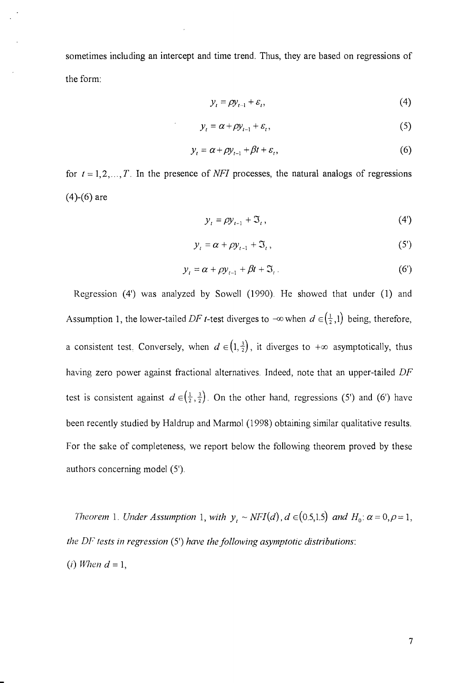sometimes including an intercept and time trend. Thus, they are based on regressions of the form:

$$
y_t = \rho y_{t-1} + \varepsilon_t, \tag{4}
$$

$$
y_t = \alpha + \rho y_{t-1} + \varepsilon_t, \tag{5}
$$

$$
y_t = \alpha + \rho y_{t-1} + \beta t + \varepsilon_t, \tag{6}
$$

for  $t = 1, 2, ..., T$ . In the presence of *NFI* processes, the natural analogs of regressions  $(4)-(6)$  are

$$
y_t = \rho y_{t-1} + \mathfrak{I}_t,\tag{4'}
$$

$$
y_t = \alpha + \rho y_{t-1} + \mathfrak{I}_t, \tag{5'}
$$

$$
y_t = \alpha + \rho y_{t-1} + \beta t + \mathfrak{S}_t. \tag{6'}
$$

Regression (4') was analyzed by Sowell (1990). He showed that under (1) and Assumption 1, the lower-tailed DF t-test diverges to  $-\infty$  when  $d \in (\frac{1}{2}, 1)$  being, therefore, a consistent test. Conversely, when  $d \in (1, \frac{3}{2})$ , it diverges to  $+\infty$  asymptotically, thus having zero power against fractional alternatives. Indeed, note that an upper-tailed DF test is consistent against  $d \in (\frac{1}{2}, \frac{3}{2})$ . On the other hand, regressions (5') and (6') have been recently studied by Haldrup and Marmol (1998) obtaining similar qualitative results. For the sake of completeness, we report below the following theorem proved by these authors concerning model (5').

*Theorem 1. Under Assumption 1, with*  $y_i \sim NFI(d)$ ,  $d \in (0.5,1.5)$  *and*  $H_0: \alpha = 0, \rho = 1$ , *the* DF *tests in regression* (5') *have the following asymptotic distributions:*   $(i)$  *When*  $d = 1$ ,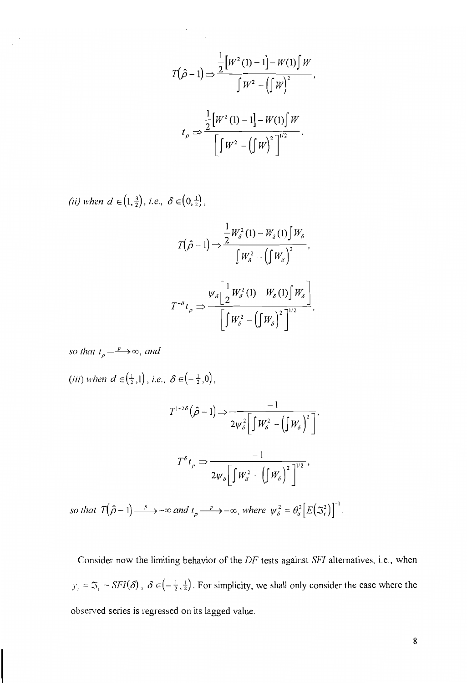$$
T(\hat{\rho} - 1) \Rightarrow \frac{\frac{1}{2} [W^2(1) - 1] - W(1) \int W}{\int W^2 - (\int W)^2},
$$

$$
t_{\rho} \Rightarrow \frac{\frac{1}{2} [W^2(1) - 1] - W(1) \int W}{\left[ \int W^2 - (\int W)^2 \right]^{1/2}},
$$

*(ii) when d*  $\in (1, \frac{3}{2})$ , *i.e.*,  $\delta \in (0, \frac{1}{2})$ ,

$$
T(\hat{\rho}-1) \Longrightarrow \frac{\frac{1}{2}W_{\delta}^{2}(1) - W_{\delta}(1)\int W_{\delta}}{\int W_{\delta}^{2} - (\int W_{\delta})^{2}},
$$

$$
T^{-\delta}t_{\rho} \Longrightarrow \frac{W_{\delta}\left[\frac{1}{2}W_{\delta}^{2}(1) - W_{\delta}(1)\int W_{\delta}\right]}{\left[\int W_{\delta}^{2} - (\int W_{\delta})^{2}\right]^{1/2}},
$$

*so that*  $t_{\rho} \longrightarrow \infty$ *, and* 

(*iii*) when  $d \in (\frac{1}{2}, 1)$ , *i.e.*,  $\delta \in (-\frac{1}{2}, 0)$ ,

$$
T^{1-2\delta}(\hat{\rho}-1) \Longrightarrow \frac{-1}{2\psi_{\delta}^{2}\left[\int W_{\delta}^{2} - \left(\int W_{\delta}\right)^{2}\right]},
$$

$$
T^{\delta}t_{\rho} \Longrightarrow \frac{-1}{2\psi_{\delta}\left[\int W_{\delta}^{2} - \left(\int W_{\delta}\right)^{2}\right]^{1/2}},
$$

so that  $T(\hat{\rho}-1) \longrightarrow -\infty$  and  $t_{\rho} \longrightarrow -\infty$ , where  $\psi_{\delta}^2 = \theta_{\delta}^2 [E(\mathfrak{S}_t^2)]^{-1}$ .

Consider now the limiting behavior of the *DF* tests against *SF!* alternatives, i.e., when  $y'_i = \Im_i \sim SFI(\delta)$ ,  $\delta \in \left(-\frac{1}{2},\frac{1}{2}\right)$ . For simplicity, we shall only consider the case where the observed series is regressed on its lagged value.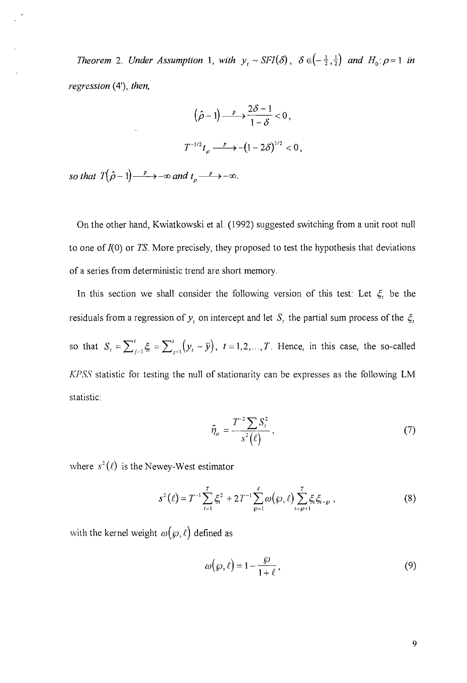*Theorem 2. Under Assumption 1, with*  $y_i \sim SFI(\delta)$ ,  $\delta \in (-\frac{1}{2},\frac{1}{2})$  *and*  $H_0: \rho = 1$  *in regression* (4'), *then,* 

$$
(\hat{\rho} - 1) \xrightarrow{p} \frac{2\delta - 1}{1 - \delta} < 0,
$$
\n
$$
T^{-1/2} t_{\rho} \xrightarrow{p} -(1 - 2\delta)^{1/2} < 0,
$$

so that  $T(\hat{\rho}-1) \longrightarrow -\infty$  and  $t_{\rho} \longrightarrow -\infty$ .

On the other hand, Kwiatkowski et al. (1992) suggested switching from a unit root null to one of /(0) or *TS.* More precisely, they proposed to test the hypothesis that deviations of a series from deterministic trend are short memory.

In this section we shall consider the following version of this test: Let  $\xi$  be the residuals from a regression of  $y<sub>i</sub>$  on intercept and let  $S<sub>i</sub>$  the partial sum process of the  $\xi<sub>i</sub>$ so that  $S_t = \sum_{j=1}^t \xi_i = \sum_{j=1}^t (y_t - \bar{y}), t = 1, 2, ..., T$ . Hence, in this case, the so-called *KPSS* statistic for testing the null of stationarity can be expresses as the following LM statistic:

$$
\hat{\eta}_{\mu} = \frac{T^{-2} \sum S_t^2}{s^2(\ell)},
$$
\n(7)

where  $s^2(\ell)$  is the Newey-West estimator

$$
s^{2}(\ell) = T^{-1} \sum_{t=1}^{T} \xi_{t}^{2} + 2T^{-1} \sum_{\wp=1}^{\ell} \omega(\wp, \ell) \sum_{t=\wp+1}^{T} \xi_{t} \xi_{t-\wp}, \qquad (8)
$$

with the kernel weight  $\omega(\varphi,\ell)$  defined as

$$
\omega(\wp,\ell) = 1 - \frac{\wp}{1+\ell},\tag{9}
$$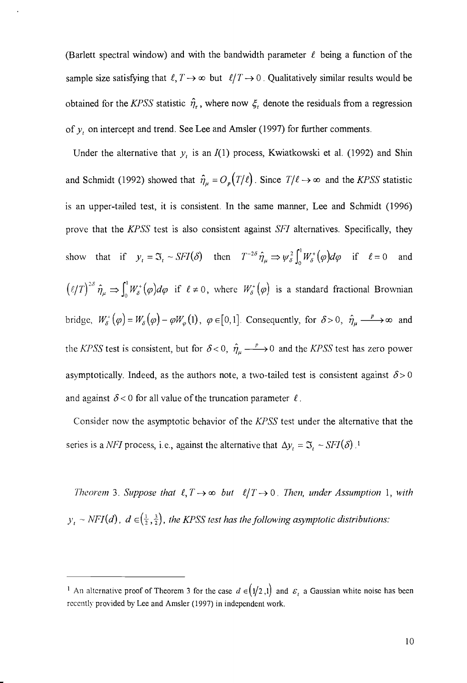(Barlett spectral window) and with the bandwidth parameter  $\ell$  being a function of the sample size satisfying that  $\ell, T \rightarrow \infty$  but  $\ell/T \rightarrow 0$ . Qualitatively similar results would be obtained for the *KPSS* statistic  $\hat{\eta}_r$ , where now  $\xi_t$  denote the residuals from a regression of *y*, on intercept and trend. See Lee and Amsler (1997) for further comments.

Under the alternative that  $y_t$  is an  $I(1)$  process, Kwiatkowski et al. (1992) and Shin and Schmidt (1992) showed that  $\hat{\eta}_{\mu} = O_p(T/\ell)$ . Since  $T/\ell \rightarrow \infty$  and the *KPSS* statistic is an upper-tailed test, it is consistent. In the same manner, Lee and Schmidt (1996) prove that the *KPSS* test is also consistent against *SFl* alternatives. Specifically, they show that if  $y_t = \mathfrak{T}_t \sim SFI(\delta)$  then  $T^{-2\delta} \hat{\eta}_\mu \Rightarrow \psi_\delta^2 \int_0^1 W_\delta^*(\varphi) d\varphi$  if  $\ell = 0$  and  $(\ell/T)^{2\delta}$   $\hat{\eta}_{\mu} \Rightarrow \int_0^1 W_{\delta}^*(\varphi)d\varphi$  if  $\ell \neq 0$ , where  $W_{\delta}^*(\varphi)$  is a standard fractional Brownian bridge,  $W^+_{\delta}(\varphi) = W_{\delta}(\varphi) - \varphi W_{\varphi}(1)$ ,  $\varphi \in [0,1]$ . Consequently, for  $\delta > 0$ ,  $\hat{\eta}_{\mu} \longrightarrow \infty$  and the *KPSS* test is consistent, but for  $\delta < 0$ ,  $\hat{\eta}_{\mu} \longrightarrow 0$  and the *KPSS* test has zero power asymptotically. Indeed, as the authors note, a two-tailed test is consistent against  $\delta > 0$ and against  $\delta$  < 0 for all value of the truncation parameter  $\ell$ .

Consider now the asymptotic behavior of the *KPSS* test under the alternative that the series is a *NFI* process, i.e., against the alternative that  $\Delta y_t = \mathfrak{I}_t \sim SFI(\delta)$ .<sup>1</sup>

*Theorem* 3. *Suppose that*  $\ell, T \rightarrow \infty$  *but*  $\ell/T \rightarrow 0$ . *Then, under Assumption* 1, *with*  $y_t \sim NFI(d)$ ,  $d \in (\frac{1}{2}, \frac{3}{2})$ , the KPSS test has the following asymptotic distributions:

<sup>&</sup>lt;sup>1</sup> An alternative proof of Theorem 3 for the case  $d \in (1/2,1)$  and  $\varepsilon$ <sub>t</sub> a Gaussian white noise has been recently provided by Lee and Amsler (1997) in independent work.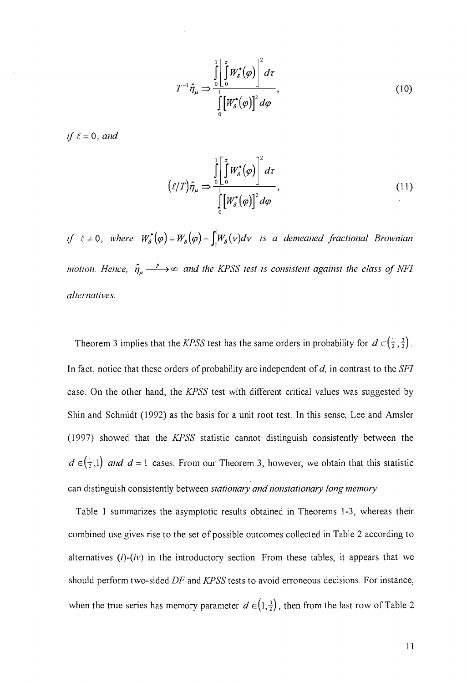$$
T^{-1}\hat{\eta}_{\mu} \Rightarrow \frac{\int_{0}^{1} \left[ \int_{0}^{\tau} W_{\delta}^{*}(\varphi) \right]^{2} d\tau}{\int_{0}^{1} \left[ W_{\delta}^{*}(\varphi) \right]^{2} d\varphi}, \qquad (10)
$$

if  $\ell = 0$ , and

$$
(\ell/T)\hat{\eta}_{\mu} \Rightarrow \frac{\int_{0}^{1} \left[\int_{0}^{\tau} W_{\delta}^{*}(\varphi)\right]^{2} d\tau}{\int_{0}^{1} \left[W_{\delta}^{*}(\varphi)\right]^{2} d\varphi},
$$
\n(11)

if  $\ell \neq 0$ , where  $W_{\delta}^{*}(\varphi) = W_{\delta}(\varphi) - \int_{0}^{1} W_{\delta}(\nu) d\nu$  *is a demeaned fractional Brownian motion. Hence,*  $\hat{\eta}_{\mu} \longrightarrow \infty$  *and the KPSS test is consistent against the class of NFI alternatives.* 

Theorem 3 implies that the *KPSS* test has the same orders in probability for  $d \in (\frac{1}{2}, \frac{3}{2})$ . In fact, notice that these orders of probability are independent of *d,* in contrast to the *SF!*  case. On the other hand, the *KPSS* test with different critical values was suggested by Shin and Schmidt (1992) as the basis for a unit root test. In this sense, Lee and Amsler (1997) showed that the *KPSS* statistic cannot distinguish consistently between the  $d \in (\frac{1}{2},1)$  *and d* = 1 cases. From our Theorem 3, however, we obtain that this statistic can distinguish consistently between *stationary and nonstationary long memory*.

Table 1 summarizes the asymptotic results obtained in Theorems 1-3, whereas their combined use gives rise to the set of possible outcomes collected in Table 2 according to alternatives  $(i)$ - $(iv)$  in the introductory section. From these tables, it appears that we should perform two-sided *DF* and *KPSS* tests to avoid erroneous decisions. For instance, when the true series has memory parameter  $d \in (1, \frac{3}{2})$ , then from the last row of Table 2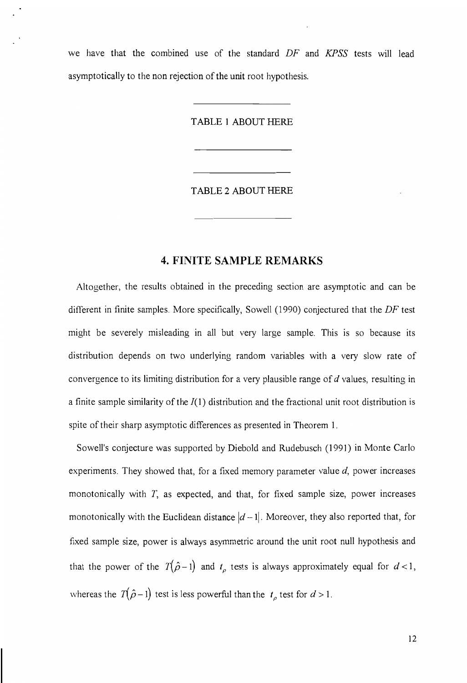we have that the combined use of the standard *DF* and *KPSS* tests will lead asymptotically to the non rejection of the unit root hypothesis.

TABLE 1 ABOUT HERE

TABLE 2 ABOUT HERE

#### **4. FINITE SAMPLE REMARKS**

Altogether, the results obtained in the preceding section are asymptotic and can be different in finite samples. More specifically, Sowell (1990) conjectured that the *DF* test might be severely misleading in all but very large sample. This is so because its distribution depends on two underlying random variables with a very slow rate of convergence to its limiting distribution for a very plausible range of d values, resulting in a finite sample similarity of the  $I(1)$  distribution and the fractional unit root distribution is spite of their sharp asymptotic differences as presented in Theorem 1.

Sowell's conjecture was supported by Diebold and Rudebusch (1991) in Monte Carlo experiments. They showed that, for a fixed memory parameter value  $d$ , power increases monotonically with *T,* as expected, and that, for fixed sample size, power increases monotonically with the Euclidean distance  $|d-1|$ . Moreover, they also reported that, for fixed sample size, power is always asymmetric around the unit root null hypothesis and that the power of the  $T(\hat{\rho}-1)$  and  $t_{\rho}$  tests is always approximately equal for  $d < 1$ , whereas the  $T(\hat{\rho}-1)$  test is less powerful than the  $t_{\rho}$  test for  $d>1$ .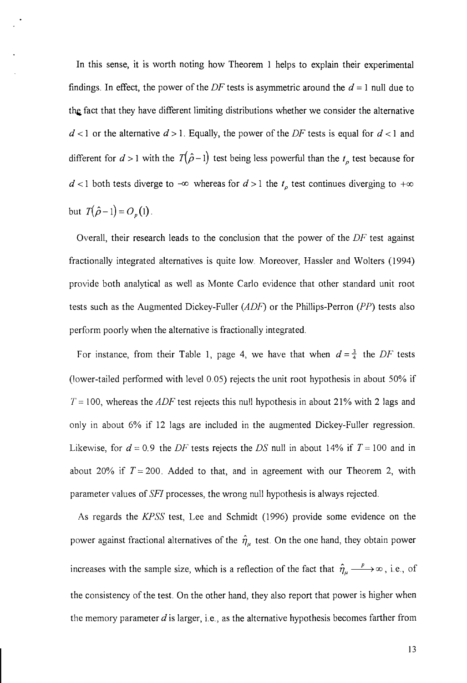In this sense, it is worth noting how Theorem 1 helps to explain their experimental findings. In effect, the power of the DF tests is asymmetric around the  $d = 1$  null due to the fact that they have different limiting distributions whether we consider the alternative  $d$  < 1 or the alternative  $d > 1$ . Equally, the power of the DF tests is equal for  $d < 1$  and different for  $d > 1$  with the  $T(\hat{\rho}-1)$  test being less powerful than the  $t_{\rho}$  test because for  $d < 1$  both tests diverge to  $-\infty$  whereas for  $d > 1$  the  $t_p$  test continues diverging to  $+\infty$ but  $T(\hat{\rho}-1) = O_p(1)$ .

Overall, their research leads to the conclusion that the power of the DF test against fractionally integrated alternatives is quite low. Moreover, Hassler and Wolters (1994) provide both analytical as well as Monte Carlo evidence that other standard unit root tests such as the Augmented Dickey-Fuller *(ADF)* or the Phillips-Perron *(PP)* tests also perform poorly when the alternative is fractionally integrated.

For instance, from their Table 1, page 4, we have that when  $d = \frac{3}{4}$  the DF tests (lower-tailed performed with level 0.05) rejects the unit root hypothesis in about 50% if  $T = 100$ , whereas the *ADF* test rejects this null hypothesis in about 21% with 2 lags and only in about 6% if 12 lags are included in the augmented Dickey-Fuller regression. Likewise, for  $d = 0.9$  the DF tests rejects the DS null in about 14% if  $T = 100$  and in about 20% if  $T = 200$ . Added to that, and in agreement with our Theorem 2, with parameter values of SFI processes, the wrong null hypothesis is always rejected.

As regards the KPSS test, Lee and Schmidt (1996) provide some evidence on the power against fractional alternatives of the  $\hat{\eta}_{\mu}$  test. On the one hand, they obtain power increases with the sample size, which is a reflection of the fact that  $\hat{\eta}_{\mu} \longrightarrow \infty$ , i.e., of the consistency of the test. On the other hand, they also report that power is higher when the memory parameter  $d$  is larger, i.e., as the alternative hypothesis becomes farther from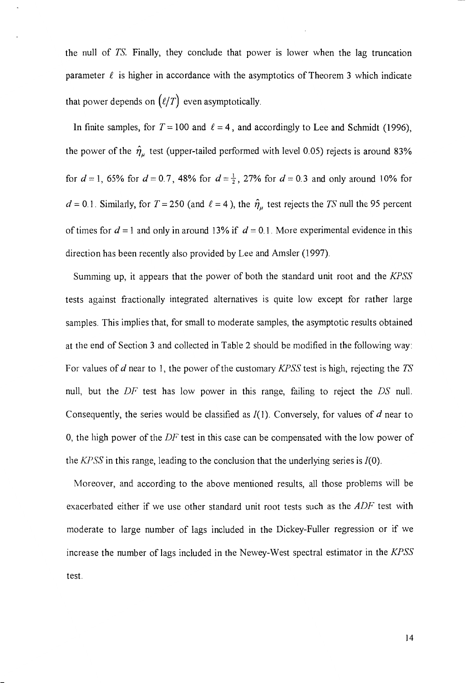the null of *TS.* Finally, they conclude that power is lower when the lag truncation parameter  $\ell$  is higher in accordance with the asymptotics of Theorem 3 which indicate that power depends on  $(\ell/T)$  even asymptotically.

In finite samples, for  $T = 100$  and  $\ell = 4$ , and accordingly to Lee and Schmidt (1996), the power of the  $~\hat{\eta}_{\mu}$  test (upper-tailed performed with level 0.05) rejects is around 83% for  $d = 1$ , 65% for  $d = 0.7$ , 48% for  $d = \frac{1}{2}$ , 27% for  $d = 0.3$  and only around 10% for  $d = 0.1$ . Similarly, for  $T = 250$  (and  $l = 4$ ), the  $\hat{\eta}_{\mu}$  test rejects the *TS* null the 95 percent of times for  $d = 1$  and only in around 13% if  $d = 0.1$ . More experimental evidence in this direction has been recently also provided by Lee and Amsler (1997).

Summing up, it appears that the power of both the standard unit root and the *KPSS*  tests against fractionally integrated alternatives is quite low except for rather large samples. This implies that, for small to moderate samples, the asymptotic results obtained at the end of Section 3 and collected in Table 2 should be modified in the following way: For values of d near to 1, the power of the customary *KPSS* test is high, rejecting the *TS*  null, but the *DF* test has low power in this range, failing to reject the *DS* null. Consequently, the series would be classified as *l(* 1). Conversely, for values of *d* near to 0, the high power of the *DF* test in this case can be compensated with the low power of the *KPSS* in this range, leading to the conclusion that the underlying series is 1(0).

Moreover, and according to the above mentioned results, all those problems will be exacerbated either if we use other standard unit root tests such as the *ADF* test with moderate to large number of lags included in the Dickey-Fuller regression or if we increase the number of lags included in the Newey-West spectral estimator in the *KPSS* test.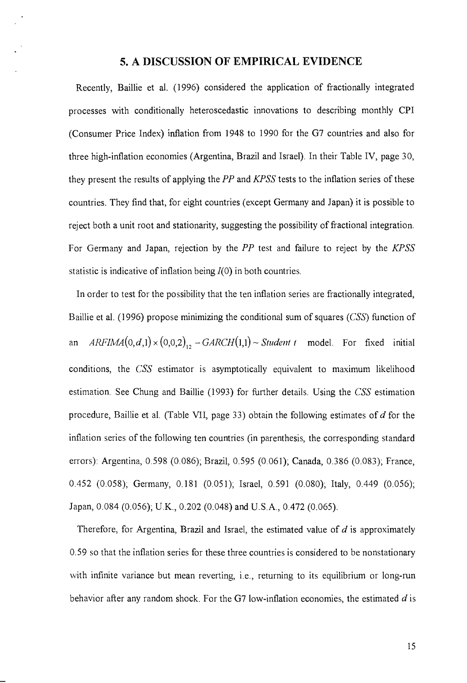#### **5. A DISCUSSION OF EMPIRICAL EVIDENCE**

Recently, Baillie et al. (1996) considered the application of fractionally integrated processes with conditionally heteroscedastic innovations to describing monthly CPI (Consumer Price Index) inflation from 1948 to 1990 for the G7 countries and also for three high-inflation economies (Argentina, Brazil and Israel). In their Table IV, page 30, they present the results of applying the *pp* and *KPSS* tests to the inflation series of these countries. They find that, for eight countries (except Germany and Japan) it is possible to reject both a unit root and stationarity, suggesting the possibility of fractional integration. For Germany and Japan, rejection by the *pp* test and failure to reject by the *KPSS*  statistic is indicative of inflation being  $I(0)$  in both countries.

In order to test for the possibility that the ten inflation series are fractionally integrated, Baillie et al. (1996) propose minimizing the conditional sum of squares (CSS) function of an  $ARFIMA(0,d,1) \times (0,0,2)_{12} - GARCH(1,1) \sim Student~t \mod 1$ . For fixed initial conditions, the *CSS* estimator is asymptotically equivalent to maximum likelihood estimation. See Chung and Baillie (1993) for further details. Using the *CSS* estimation procedure, Baillie et al. (Table VII, page 33) obtain the following estimates of d for the inflation series of the following ten countries (in parenthesis, the corresponding standard errors): Argentina, 0.598 (0.086); Brazil, 0.595 (0.061); Canada, 0.386 (0.083); France, 0.452 (0.058); Germany, 0.181 (0.051); Israel, 0.591 (0.080); Italy, 0.449 (0.056); Japan, 0.084 (0.056); u.K., 0.202 (0.048) and U.S.A., 0.472 (0.065).

Therefore, for Argentina, Brazil and Israel, the estimated value of  $d$  is approximately 0.59 so that the inflation series for these three countries is considered to be nonstationary with infinite variance but mean reverting, i.e., returning to its equilibrium or long-run behavior after any random shock. For the G7 low-inflation economies, the estimated  $d$  is

15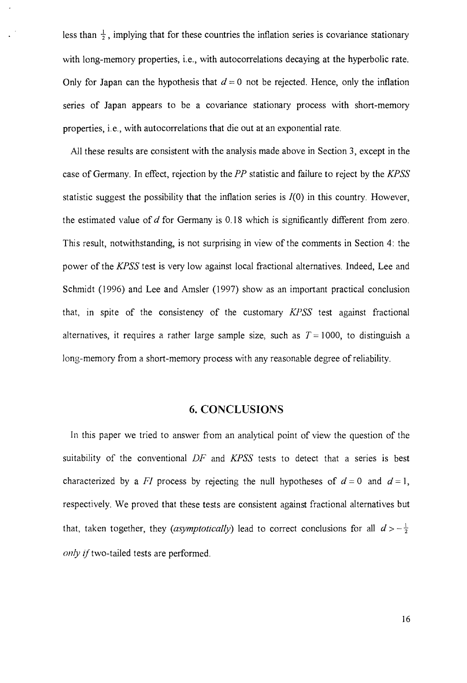less than  $\frac{1}{2}$ , implying that for these countries the inflation series is covariance stationary with long-memory properties, i.e., with autocorrelations decaying at the hyperbolic rate. Only for Japan can the hypothesis that  $d = 0$  not be rejected. Hence, only the inflation series of Japan appears to be a covariance stationary process with short-memory properties, i.e., with autocorrelations that die out at an exponential rate.

All these results are consistent with the analysis made above in Section 3, except in the case of Germany. In effect, rejection by the PP statistic and failure to reject by the *KPSS* statistic suggest the possibility that the inflation series is  $I(0)$  in this country. However, the estimated value of  $d$  for Germany is 0.18 which is significantly different from zero. This result, notwithstanding, is not surprising in view of the comments in Section 4: the power of the *KPSS* test is very low against local fractional alternatives. Indeed, Lee and Schmidt (1996) and Lee and Amsler (1997) show as an important practical conclusion that, in spite of the consistency of the customary *KPSS* test against fractional alternatives, it requires a rather large sample size, such as  $T = 1000$ , to distinguish a long-memory from a short-memory process with any reasonable degree of reliability.

#### **6. CONCLUSIONS**

In this paper we tried to answer from an analytical point of view the question of the suitability of the conventional *DF* and *KPSS* tests to detect that a series is best characterized by a *FI* process by rejecting the null hypotheses of  $d = 0$  and  $d = 1$ , respectively. We proved that these tests are consistent against fractional alternatives but that, taken together, they *(asymptotically)* lead to correct conclusions for all  $d > -\frac{1}{2}$ *only* if two-tailed tests are performed.

16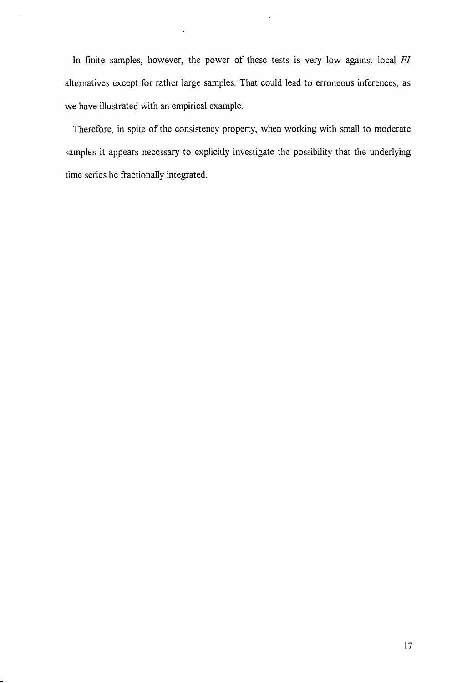In finite samples, however, the power of these tests is very low against local *FI*  alternatives except for rather large samples. That could lead to erroneous inferences, as we have illustrated with an empirical example.

Therefore, in spite of the consistency property, when working with small to moderate samples it appears necessary to explicitly investigate the possibility that the underlying time series be fractionally integrated.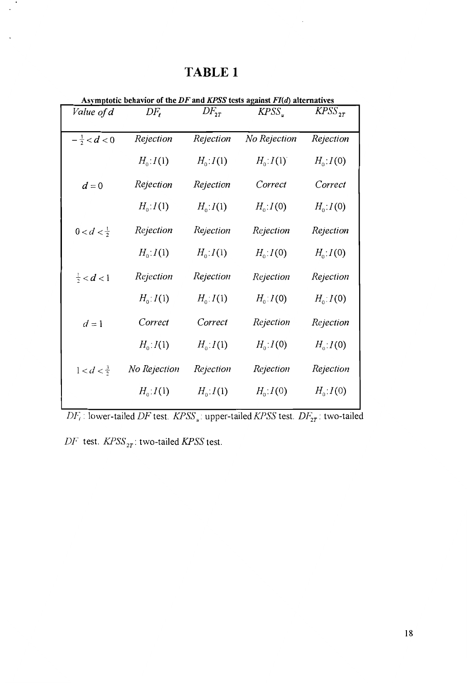| Value of d             | $DF_{\ell}$      | $DF_{2T}$        | $KPSS_{u}$   | $KPSS_{2T}$      |
|------------------------|------------------|------------------|--------------|------------------|
|                        | Rejection        | Rejection        | No Rejection | Rejection        |
| $-\frac{1}{2} < d < 0$ |                  |                  |              |                  |
|                        | $H_0: I(1)$      | $H_0: I(1)$      | $H_0: I(1)$  | $H_0: I(0)$      |
| $d=0$                  | Rejection        | Rejection        | Correct      | Correct          |
|                        | $H_0: I(1)$      | $H_{0}$ : $I(1)$ | $H_0: I(0)$  | $H_{0}$ : $I(0)$ |
| $0 < d < \frac{1}{2}$  | Rejection        | Rejection        | Rejection    | Rejection        |
|                        | $H_0: I(1)$      | $H_0: I(1)$      | $H_0: I(0)$  | $H_{0}$ : $I(0)$ |
| $\frac{1}{2} < d < 1$  | Rejection        | Rejection        | Rejection    | Rejection        |
|                        | $H_{0}$ : $I(1)$ | $H_0: I(1)$      | $H_0: I(0)$  | $H_{0}$ : $I(0)$ |
| $d=1$                  | Correct          | Correct          | Rejection    | Rejection        |
|                        | $H_0: I(1)$      | $H_0: I(1)$      | $H_0: I(0)$  | $H_{0}$ : $I(0)$ |
| $1 < d < \frac{3}{2}$  | No Rejection     | Rejection        | Rejection    | Rejection        |
|                        | $H_0: I(1)$      | $H_0: I(1)$      | $H_0: I(0)$  | $H_0: I(0)$      |

# **TABLE 1**

the DF and KPSS tests against  $F I(d)$  alternatives

 $DF_{\epsilon}$ : lower-tailed DF test.  $KPSS_u$ : upper-tailed  $KPSS$  test.  $DF_{2T}$ : two-tailed

 $DF$  test.  $KPSS_{2T}$ : two-tailed  $KPSS$  test.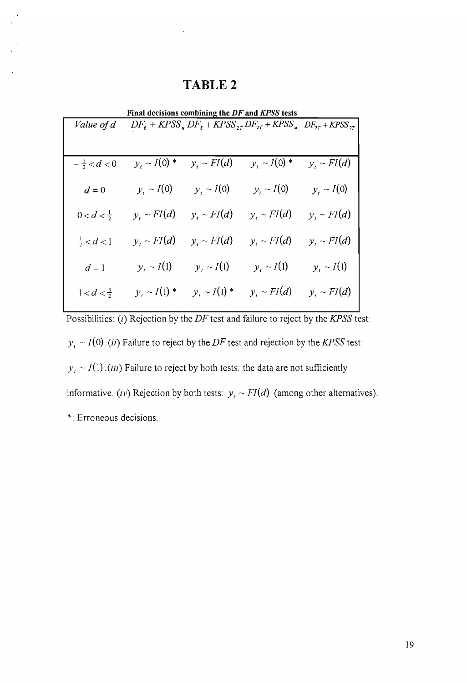## TABLE 2

| Final decisions combining the DF and KPSS tests |                   |                   |                                                                                                                                                 |                  |  |  |  |
|-------------------------------------------------|-------------------|-------------------|-------------------------------------------------------------------------------------------------------------------------------------------------|------------------|--|--|--|
| Value of d                                      |                   |                   | $DF_{\ell}$ + KPSS <sub>u</sub> DF <sub>l</sub> + KPSS <sub>2T</sub> DF <sub>2T</sub> + KPSS <sub>u</sub> DF <sub>2T</sub> + KPSS <sub>2T</sub> |                  |  |  |  |
|                                                 |                   |                   |                                                                                                                                                 |                  |  |  |  |
|                                                 |                   |                   |                                                                                                                                                 |                  |  |  |  |
| $-\frac{1}{2} < d < 0$                          | $y_t \sim I(0)$ * | $y_t \sim FI(d)$  | $y_t \sim I(0)$ *                                                                                                                               | $y_i \sim FI(d)$ |  |  |  |
|                                                 |                   |                   |                                                                                                                                                 |                  |  |  |  |
| $d=0$                                           | $y_i \sim I(0)$   | $y_t \sim I(0)$   | $y_t \sim I(0)$                                                                                                                                 | $y_t \sim I(0)$  |  |  |  |
| $0 < d < \frac{1}{2}$                           | $y_t \sim FI(d)$  | $y_t \sim FI(d)$  | $y_t \sim FI(d)$                                                                                                                                | $y_t \sim FI(d)$ |  |  |  |
|                                                 |                   |                   |                                                                                                                                                 |                  |  |  |  |
| $\frac{1}{2} < d < 1$                           | $y_t \sim FI(d)$  | $y_t \sim FI(d)$  | $y_i \sim FI(d)$                                                                                                                                | $y_t \sim FI(d)$ |  |  |  |
|                                                 |                   |                   |                                                                                                                                                 |                  |  |  |  |
| $d=1$                                           | $y_t \sim I(1)$   | $y_i \sim I(1)$   | $y_t \sim I(1)$                                                                                                                                 | $y_i \sim I(1)$  |  |  |  |
|                                                 | $y_t \sim I(1)$ * | $y_t \sim I(1)$ * | $y_t \sim FI(d)$                                                                                                                                |                  |  |  |  |
| $1 < d < \frac{3}{2}$                           |                   |                   |                                                                                                                                                 | $y_t \sim FI(d)$ |  |  |  |

Possibilities: (*i*) Rejection by the DF test and failure to reject by the KPSS test:  $y_t \sim I(0)$ . *(ii)* Failure to reject by the DF test and rejection by the KPSS test:  $y_t \sim I(1)$ . *(iii)* Failure to reject by both tests: the data are not sufficiently informative. *(iv)* Rejection by both tests:  $y_t \sim FI(d)$  (among other alternatives). \*: Erroneous decisions.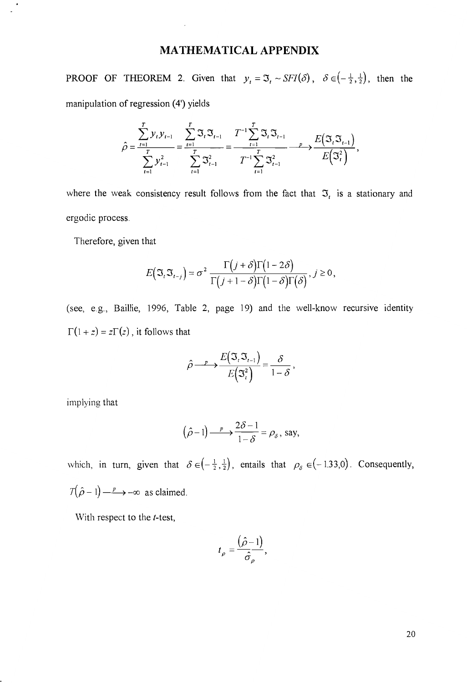#### **MA THEMATICAL APPENDIX**

PROOF OF THEOREM 2. Given that  $y_t = \Im_t \sim SFI(\delta)$ ,  $\delta \in \left(-\frac{1}{2},\frac{1}{2}\right)$ , then the manipulation of regression (4') yields

$$
\hat{\rho} = \frac{\sum_{t=1}^{T} y_t y_{t-1}}{\sum_{t=1}^{T} y_{t-1}^2} = \frac{\sum_{t=1}^{T} \mathfrak{I}_t \mathfrak{I}_{t-1}}{\sum_{t=1}^{T} \mathfrak{I}_{t-1}^2} = \frac{T^{-1} \sum_{t=1}^{T} \mathfrak{I}_t \mathfrak{I}_{t-1}}{\sum_{t=1}^{T} \sum_{t=1}^{T} \mathfrak{I}_{t-1}^2} \xrightarrow{P} \frac{E(\mathfrak{I}_t \mathfrak{I}_{t-1})}{E(\mathfrak{I}_t^2)},
$$

where the weak consistency result follows from the fact that  $\mathfrak{T}_t$  is a stationary and ergodic process.

Therefore, given that

$$
E(\mathfrak{I}_{t}\mathfrak{I}_{t-j})=\sigma^2\,\frac{\Gamma(j+\delta)\Gamma(1-2\delta)}{\Gamma(j+1-\delta)\Gamma(1-\delta)\Gamma(\delta)},\,j\geq 0,
$$

(see, e.g., Baillie, 1996, Table 2, page 19) and the well-know recursive identity  $\Gamma(1 + z) = z\Gamma(z)$ , it follows that

$$
\hat{\rho} \longrightarrow \frac{E(\mathfrak{I}_{t}\mathfrak{I}_{t-1})}{E(\mathfrak{I}_{t}^{2})} = \frac{\delta}{1-\delta},
$$

implying that

$$
(\hat{\rho}-1)\longrightarrow \frac{2\delta-1}{1-\delta}=\rho_{\delta}, \text{ say,}
$$

which, in turn, given that  $\delta \in \left(-\frac{1}{2},\frac{1}{2}\right)$ , entails that  $\rho_{\delta} \in (-1.33,0)$ . Consequently,  $T(\hat{\rho}-1) \longrightarrow -\infty$  as claimed.

With respect to the *t-test,* 

$$
t_{\rho}=\frac{\left(\hat{\rho}-1\right)}{\hat{\sigma}_{\rho}},
$$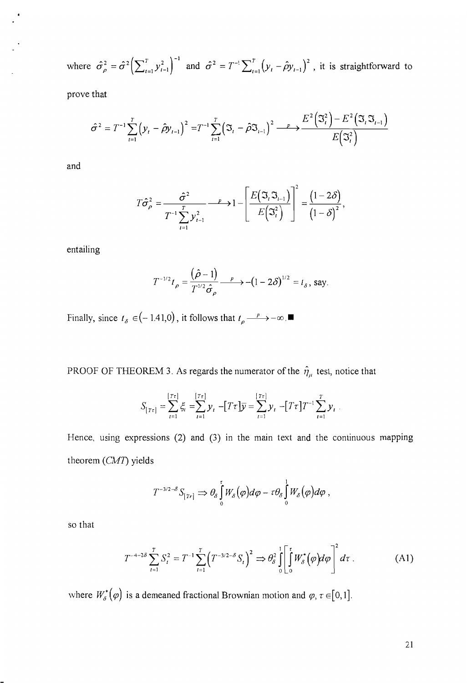where  $\hat{\sigma}_{\rho}^2 = \hat{\sigma}^2 \left( \sum_{t=1}^T y_{t-1}^2 \right)^{-1}$  and  $\hat{\sigma}^2 = T^{-1} \sum_{t=1}^T (y_t - \hat{\rho} y_{t-1})^2$ , it is straightforward to

prove that

$$
\hat{\sigma}^2 = T^{-1} \sum_{t=1}^T \left( y_t - \hat{\rho} y_{t-1} \right)^2 = T^{-1} \sum_{t=1}^T \left( \mathfrak{T}_t - \hat{\rho} \mathfrak{T}_{t-1} \right)^2 \xrightarrow{\quad P \quad} \frac{E^2 \left( \mathfrak{T}_t^2 \right) - E^2 \left( \mathfrak{T}_t \mathfrak{T}_{t-1} \right)}{E \left( \mathfrak{T}_t^2 \right)}
$$

and

$$
T\hat{\sigma}_{\rho}^{2} = \frac{\hat{\sigma}^{2}}{T^{-1}\sum_{t=1}^{T} y_{t-1}^{2}} - P \rightarrow 1 - \left[\frac{E(\mathfrak{I}, \mathfrak{I}_{t-1})}{E(\mathfrak{I}_{t}^{2})}\right]^{2} = \frac{(1-2\delta)}{(1-\delta)^{2}},
$$

entailing

$$
T^{-1/2}t_{\rho} = \frac{(\hat{\rho} - 1)}{T^{1/2}\hat{\sigma}_{\rho}} \longrightarrow -(1 - 2\delta)^{1/2} = t_{\delta}, \text{ say.}
$$

Finally, since  $t_{\delta} \in (-1.41,0)$ , it follows that  $t_{\rho} \longrightarrow -\infty$ .

PROOF OF THEOREM 3. As regards the numerator of the  $\hat{\eta}_{\mu}$  test, notice that

$$
S_{[T\tau]} = \sum_{t=1}^{[T\tau]} \xi_t = \sum_{t=1}^{[T\tau]} y_t - [T\tau] \overline{y} = \sum_{t=1}^{[T\tau]} y_t - [T\tau] T^{-1} \sum_{t=1}^{T} y_t.
$$

Hence, using expressions  $(2)$  and  $(3)$  in the main text and the continuous mapping theorem *(CM1)* yields

$$
T^{-3/2-\delta}S_{[\tau r]} \Rightarrow \theta_{\delta}\int_{0}^{r}W_{\delta}(\varphi)d\varphi - \tau \theta_{\delta}\int_{0}^{1}W_{\delta}(\varphi)d\varphi,
$$

so that

$$
T^{-4-2\delta} \sum_{t=1}^{T} S_t^2 = T^{-1} \sum_{t=1}^{T} \left( T^{-3/2-\delta} S_t \right)^2 \Rightarrow \theta_{\delta}^2 \int_0^1 \left[ \int_0^t W_{\delta}^{\star} (\varphi) d\varphi \right]^2 d\tau \,. \tag{A1}
$$

where  $W_s^{\star}(\varphi)$  is a demeaned fractional Brownian motion and  $\varphi$ ,  $\tau \in [0,1]$ .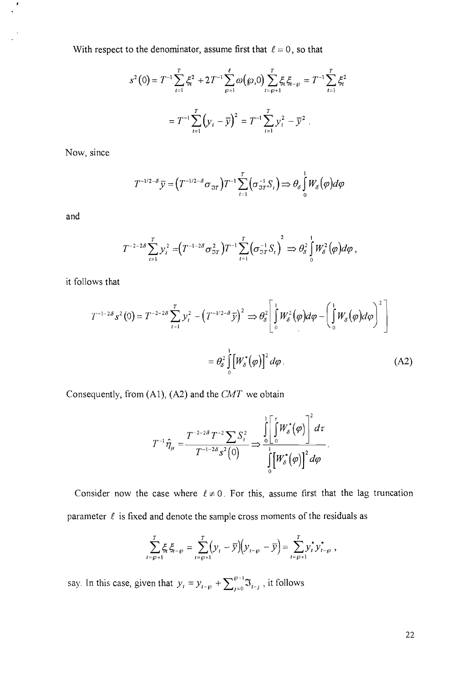With respect to the denominator, assume first that  $\ell = 0$ , so that

$$
s^{2}(0) = T^{-1} \sum_{t=1}^{T} \xi_{t}^{2} + 2T^{-1} \sum_{\varphi=1}^{\ell} \omega(\varphi, 0) \sum_{t=\varphi+1}^{T} \xi_{t} \xi_{t-\varphi} = T^{-1} \sum_{t=1}^{T} \xi_{t}^{2}
$$

$$
= T^{-1} \sum_{t=1}^{T} (\mathcal{Y}_{t} - \overline{\mathcal{Y}})^{2} = T^{-1} \sum_{t=1}^{T} \mathcal{Y}_{t}^{2} - \overline{\mathcal{Y}}^{2}.
$$

Now, since

$$
T^{-1/2-\delta}\overline{y} = (T^{-1/2-\delta}\sigma_{\Im T})T^{-1}\sum_{t=1}^T(\sigma_{\Im T}^{-1}S_t) \Longrightarrow \theta_{\delta}\int_0^1 W_{\delta}(\varphi)d\varphi
$$

and

 $\pmb{\cdot}$ 

$$
T^{-2-2\delta}\sum_{t=1}^T y_t^2 = (T^{-1-2\delta}\sigma_{3T}^2)T^{-1}\sum_{t=1}^T (\sigma_{3T}^{-1}S_t)^2 \Rightarrow \theta_\delta^2 \int_0^1 W_\delta^2(\varphi)d\varphi,
$$

it follows that

$$
T^{-1-2\delta} s^2(0) = T^{-2-2\delta} \sum_{t=1}^T y_t^2 - \left(T^{-1/2-\delta} \bar{y}\right)^2 \Rightarrow \theta_{\delta}^2 \left[ \int_0^1 W_{\delta}^2(\varphi) d\varphi - \left( \int_0^1 W_{\delta}(\varphi) d\varphi \right)^2 \right]
$$

$$
= \theta_{\delta}^2 \int_0^1 \left[ W_{\delta}^*(\varphi) \right]^2 d\varphi . \tag{A2}
$$

Consequently, from (AI), (A2) and the *CMT* we obtain

$$
T^{-1}\hat{\eta}_{\mu} = \frac{T^{-2-2\delta}T^{-2}\sum S_{t}^{2}}{T^{-1-2\delta}s^{2}(0)} \Longrightarrow \frac{\int_{0}^{1} \left[\int_{0}^{\tau} W_{\delta}^{*}(\varphi)\right]^{2} d\tau}{\int_{0}^{1} \left[W_{\delta}^{*}(\varphi)\right]^{2} d\varphi}.
$$

Consider now the case where  $\ell \neq 0$ . For this, assume first that the lag truncation parameter  $\ell$  is fixed and denote the sample cross moments of the residuals as

$$
\sum_{t=\wp+1}^{T} \xi_{t} \xi_{t-\wp} = \sum_{t=\wp+1}^{T} (y_{t} - \overline{y})(y_{t-\wp} - \overline{y}) = \sum_{t=\wp+1}^{T} y_{t}^{*} y_{t-\wp}^{*},
$$

say. In this case, given that  $y_t = y_{t-\rho} + \sum_{i=0}^{\rho-1} \mathfrak{I}_{t-i}$ , it follows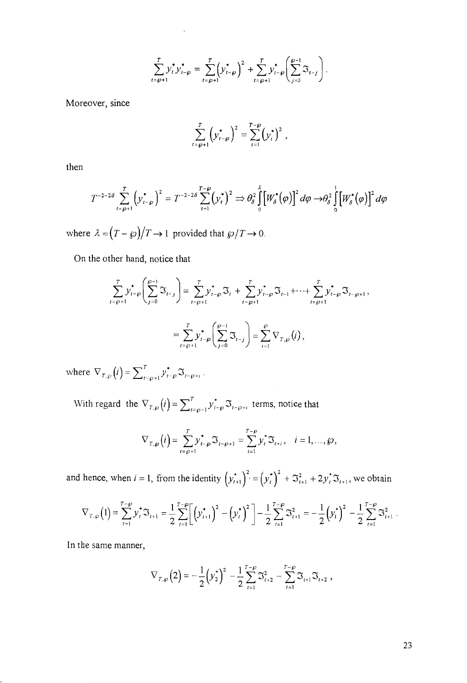$$
\sum_{t=\wp+1}^{T} y_t^* y_{t-\wp}^* = \sum_{t=\wp+1}^{T} \left( y_{t-\wp}^* \right)^2 + \sum_{t=\wp+1}^{T} y_{t-\wp}^* \left( \sum_{j=0}^{\wp-1} \mathfrak{I}_{t-j} \right).
$$

Moreover, since

$$
\sum_{t=\wp+1}^{T} \left( y_{t-\wp}^* \right)^2 = \sum_{t=1}^{T-\wp} \left( y_t^* \right)^2 ,
$$

then

$$
T^{-2-2\delta}\sum_{t=\wp+1}^T\left(y_{t-\wp}^\star\right)^2=T^{-2-2\delta}\sum_{t=1}^{T-\wp}\left(y_t^\star\right)^2\Rightarrow\theta_\delta^2\int_0^1\left[W_\delta^\star\left(\varphi\right)\right]^2d\varphi\to\theta_\delta^2\int_0^1\left[W_\delta^\star\left(\varphi\right)\right]^2d\varphi
$$

where  $\lambda = (T - \wp)/T \rightarrow 1$  provided that  $\wp/T \rightarrow 0$ .

On the other hand, notice that

$$
\sum_{t=\wp+1}^{T} y_{t-\wp}^* \left( \sum_{j=0}^{\wp-1} \mathfrak{I}_{t-j} \right) = \sum_{t=\wp+1}^{T} y_{t-\wp}^* \mathfrak{I}_{t} + \sum_{t=\wp+1}^{T} y_{t-\wp}^* \mathfrak{I}_{t-1} + \dots + \sum_{t=\wp+1}^{T} y_{t-\wp}^* \mathfrak{I}_{t-\wp+1},
$$
  

$$
= \sum_{t=\wp+1}^{T} y_{t-\wp}^* \left( \sum_{j=0}^{\wp-1} \mathfrak{I}_{t-j} \right) = \sum_{i=1}^{\wp} \nabla_{T,\wp}(i),
$$

where  $\nabla_{T,\wp}(i) = \sum_{t=\wp+1}^{T} y_{t-\wp}^* \mathfrak{I}_{t-\wp+1}$ .

With regard the  $\nabla_{T,\wp}(i) = \sum_{t=\wp+1}^{T} y_{t-\wp}^* \mathfrak{I}_{t-\wp+t}$  terms, notice that

$$
\nabla_{T,\wp}(i) = \sum_{t=\wp+1}^T y_{t-\wp}^* \mathfrak{S}_{t-\wp+1} = \sum_{t=1}^{T-\wp} y_t^* \mathfrak{S}_{t+i}, \quad i=1,\ldots,\wp,
$$

and hence, when  $i = 1$ , from the identity  $(y_{t+1}^*)^2 = (y_t^*)^2 + \mathfrak{S}_{t+1}^2 + 2y_t^* \mathfrak{S}_{t+1}$ , we obtain

$$
\nabla_{T,\varphi}(1) = \sum_{t=1}^{T-\varphi} y_t^* \mathfrak{S}_{t+1} = \frac{1}{2} \sum_{t=1}^{T-\varphi} \left[ \left( y_{t+1}^* \right)^2 - \left( y_t^* \right)^2 \right] - \frac{1}{2} \sum_{t=1}^{T-\varphi} \mathfrak{S}_{t+1}^2 = -\frac{1}{2} \left( y_1^* \right)^2 - \frac{1}{2} \sum_{t=1}^{T-\varphi} \mathfrak{S}_{t+1}^2
$$

In the same manner,

$$
\nabla_{T,\wp}(2) = -\frac{1}{2}(y_2^*)^2 - \frac{1}{2}\sum_{t=1}^{T-\wp}\Im_{t+2}^2 - \sum_{t=1}^{T-\wp}\Im_{t+1}\Im_{t+2} ,
$$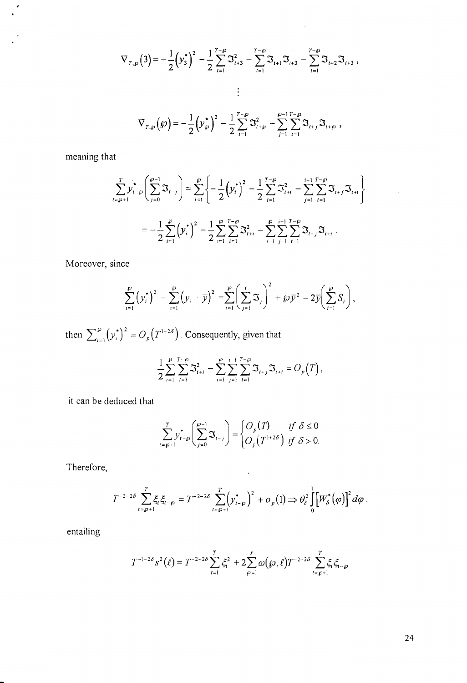$$
\nabla_{r,\wp}(3) = -\frac{1}{2} (\mathbf{y}_3^*)^2 - \frac{1}{2} \sum_{t=1}^{T-\wp} \mathfrak{S}_{t+3}^2 - \sum_{t=1}^{T-\wp} \mathfrak{S}_{t+1} \mathfrak{S}_{t+3} - \sum_{t=1}^{T-\wp} \mathfrak{S}_{t+2} \mathfrak{S}_{t+3},
$$
  

$$
\vdots
$$
  

$$
\nabla_{r,\wp}(\wp) = -\frac{1}{2} (\mathbf{y}_\wp^*)^2 - \frac{1}{2} \sum_{t=1}^{T-\wp} \mathfrak{S}_{t+\wp}^2 - \sum_{t=1}^{\wp-1} \sum_{t=1}^{T-\wp} \mathfrak{S}_{t+j} \mathfrak{S}_{t+\wp},
$$

meaning that

 $\cdot$ 

$$
\sum_{t=\wp+1}^{T} y_{t-\wp}^{\dagger} \left( \sum_{j=0}^{\wp-1} \mathfrak{I}_{t-j} \right) = \sum_{i=1}^{\wp} \left\{ -\frac{1}{2} \left( y_i^{\dagger} \right)^2 - \frac{1}{2} \sum_{t=1}^{T-\wp} \mathfrak{I}_{t+i}^2 - \sum_{j=1}^{i-1} \sum_{t=1}^{T-\wp} \mathfrak{I}_{t+j} \mathfrak{I}_{t+i} \right\}
$$

$$
= -\frac{1}{2} \sum_{i=1}^{\wp} \left( y_i^{\dagger} \right)^2 - \frac{1}{2} \sum_{i=1}^{\wp} \sum_{t=1}^{T-\wp} \mathfrak{I}_{t+i}^2 - \sum_{i=1}^{\wp} \sum_{j=1}^{i-1} \sum_{t=1}^{T-\wp} \mathfrak{I}_{t+j} \mathfrak{I}_{t+i} .
$$

Moreover, since

$$
\sum_{i=1}^{\wp} (y_i^*)^2 = \sum_{i=1}^{\wp} (y_i - \bar{y})^2 = \sum_{i=1}^{\wp} \left( \sum_{j=1}^i \mathfrak{S}_j \right)^2 + \wp \bar{y}^2 - 2 \bar{y} \left( \sum_{i=1}^{\wp} S_i \right),
$$

then  $\sum_{i=1}^{\wp} (y_i^*)^2 = O_p(T^{1+2\delta})$ . Consequently, given that

$$
\frac{1}{2}\sum_{i=1}^{\varrho}\sum_{t=1}^{T-\varrho}\mathfrak{S}_{t+i}^{2}-\sum_{i=1}^{\varrho}\sum_{j=1}^{i-1}\sum_{t=1}^{T-\varrho}\mathfrak{S}_{t+j}\mathfrak{S}_{t+i}=O_{p}(T),
$$

it can be deduced that

$$
\sum_{t=\rho+1}^{T} y_{t-\rho}^* \left( \sum_{j=0}^{\rho-1} \mathfrak{I}_{t-j} \right) = \begin{cases} O_p(T) & \text{if } \delta \le 0 \\ O_p(T^{1+2\delta}) & \text{if } \delta > 0. \end{cases}
$$

Therefore,

$$
T^{-2-2\delta}\sum_{t=\wp+1}^T \xi_t \xi_{t-\wp} = T^{-2-2\delta}\sum_{t=\wp+1}^T \left(y_{t-\wp}^*\right)^2 + o_p(1) \Longrightarrow \theta_{\delta}^2 \int_0^1 \left[W_{\delta}^*(\varphi)\right]^2 d\varphi.
$$

entailing

$$
T^{-1-2\delta} s^2(\ell) = T^{-2-2\delta} \sum_{t=1}^T \xi_t^2 + 2 \sum_{\rho=1}^\ell \omega(\wp,\ell) T^{-2-2\delta} \sum_{t=\wp+1}^T \xi_t \xi_{t-\wp}
$$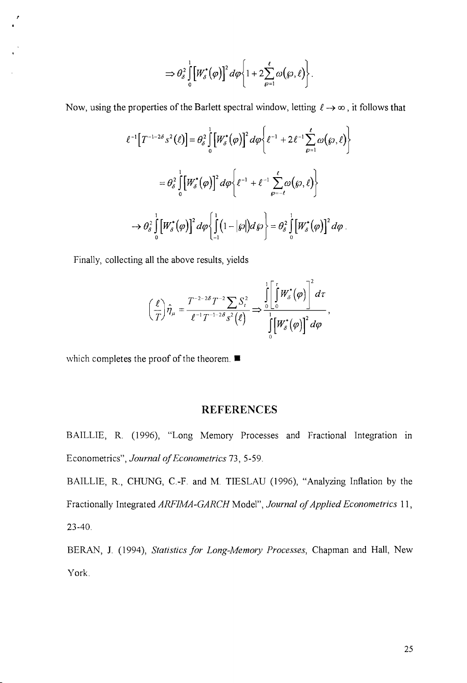$$
\Rightarrow \theta_{\delta}^2 \int\limits_{0}^{1} \left[W_{\delta}^{\star}(\varphi)\right]^2 d\varphi \left\{1+2 \sum_{\varrho=1}^{\ell} \omega(\varphi,\ell)\right\}.
$$

Now, using the properties of the Barlett spectral window, letting  $\ell \to \infty$ , it follows that

$$
\ell^{-1}\left[T^{-1-2\delta} s^2(\ell)\right] = \theta_{\delta}^2 \int_0^1 \left[W_{\delta}^{\star}(\varphi)\right]^2 d\varphi \left\{\ell^{-1} + 2\ell^{-1} \sum_{\varphi=1}^{\ell} \omega(\varphi,\ell)\right\}
$$

$$
= \theta_{\delta}^2 \int_0^1 \left[W_{\delta}^{\star}(\varphi)\right]^2 d\varphi \left\{\ell^{-1} + \ell^{-1} \sum_{\varphi=-\ell}^{\ell} \omega(\varphi,\ell)\right\}
$$

$$
\to \theta_{\delta}^2 \int_0^1 \left[W_{\delta}^{\star}(\varphi)\right]^2 d\varphi \left\{\int_{-1}^1 (1-|\varphi|) d\varphi\right\} = \theta_{\delta}^2 \int_0^1 \left[W_{\delta}^{\star}(\varphi)\right]^2 d\varphi.
$$

Finally, collecting all the above results, yields

 $\mathbf{r}$ 

$$
\left(\frac{\ell}{T}\right)\hat{\eta}_{\mu}=\frac{T^{-2-2\delta}T^{-2}\sum_{\beta}S_{\iota}^{2}}{\ell^{-1}T^{-1-2\delta}s^{2}(\ell)}\Rightarrow\frac{\int_{0}^{1}\left[\int_{0}^{r}W_{\delta}^{*}(\varphi)\right]^{2}d\tau}{\int_{0}^{1}\left[W_{\delta}^{*}(\varphi)\right]^{2}d\varphi},
$$

which completes the proof of the theorem.  $\blacksquare$ 

#### **REFERENCES**

BAILLIE, R. (1996), "Long Memory Processes and Fractional Integration in Econometrics", *Journal of Econometrics* 73, 5-59.

BAILLIE, R., CHUNG, C.-F. and M. TIESLAU (1996), "Analyzing Inflation by the Fractionally Integrated *ARFIMA-GARCH* Model", *Journal of Applied Econometrics 11,*  23-40.

BERAN, J. (1994), *Statistics for Long-Memory Processes*, Chapman and Hall, New York.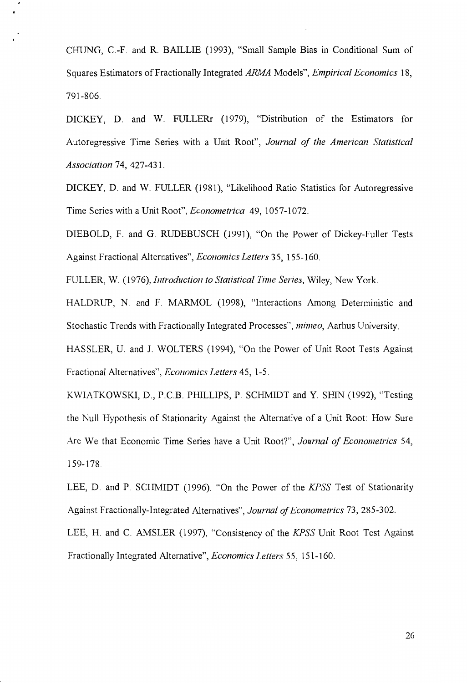CHUNG, c.-F. and R. BAILLIE (1993), "Small Sample Bias in Conditional Sum of Squares Estimators of Fractionally Integrated *ARMA* Models", *Empirical Economics 18,*  791-806.

DICKEY, D. and W. FULLERr (1979), "Distribution of the Estimators for Autoregressive Time Series with a Unit Root", *Journal of the American Statistical Association* 74, 427-431.

DICKEY, D. and W. FULLER (1981), "Likelihood Ratio Statistics for Autoregressive Time Series with a Unit Root", *Econometrica* 49, 1057-1072.

DIEBOLD, F. and G. RUDEBUSCH (1991), "On the Power of Dickey-Fuller Tests Against Fractional Alternatives", *Economics Letters* 35, 155-160.

FULLER, W. (1976), *Introduction to Statistical Time Series,* Wiley, New York.

HALDRUP, N. and F. MARMOL (1998), "Interactions Among Deterministic and Stochastic Trends with Fractionally Integrated Processes", *mimeo,* Aarhus University.

HASSLER, U. and J. WOLTERS (1994), "On the Power of Unit Root Tests Against Fractional Alternatives", *Economics Letters* 45, 1-5.

KWIATKOWSKI, D., P.c.B. PHILLIPS, P. SCHMIDT and Y. SHIN (1992), "Testing the Null Hypothesis of Stationarity Against the Alternative of a Unit Root: How Sure Are We that Economic Time Series have a Unit Root?", *Journal of Econometrics 54,*  159-178.

LEE, D. and P. SCHMIDT (1996), "On the Power of the *KPSS* Test of Stationarity Against Fractionally-Integrated Alternatives", *Journal of Econometrics* 73, 285-302. LEE, H. and C. AMSLER (1997), "Consistency of the *KPSS* Unit Root Test Against

Fractionally Integrated Alternative", *Economics Letters* 55,151-160.